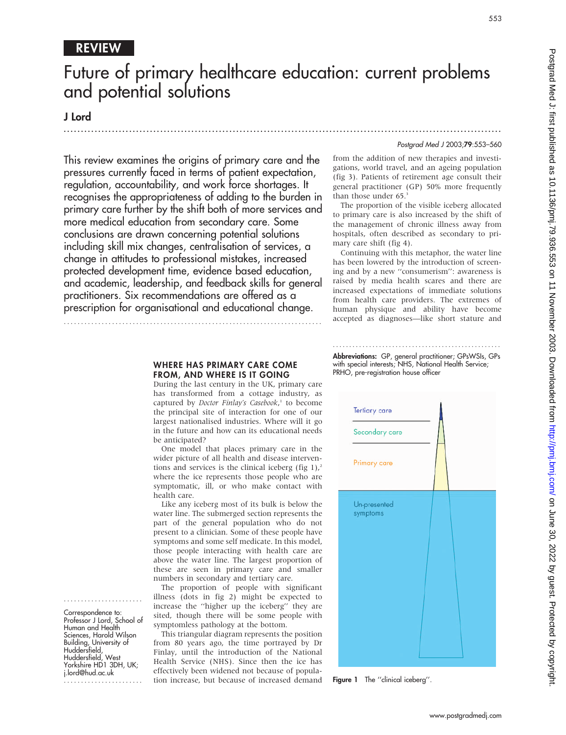## REVIEW

## Future of primary healthcare education: current problems and potential solutions

.............................................................................................................................. .

### J Lord

Postgrad Med J 2003;79:553–560

553

This review examines the origins of primary care and the pressures currently faced in terms of patient expectation, regulation, accountability, and work force shortages. It recognises the appropriateness of adding to the burden in primary care further by the shift both of more services and more medical education from secondary care. Some conclusions are drawn concerning potential solutions including skill mix changes, centralisation of services, a change in attitudes to professional mistakes, increased protected development time, evidence based education, and academic, leadership, and feedback skills for general practitioners. Six recommendations are offered as a prescription for organisational and educational change.

...........................................................................

from the addition of new therapies and investigations, world travel, and an ageing population (fig 3). Patients of retirement age consult their general practitioner (GP) 50% more frequently than those under 65.<sup>3</sup>

The proportion of the visible iceberg allocated to primary care is also increased by the shift of the management of chronic illness away from hospitals, often described as secondary to primary care shift (fig 4).

Continuing with this metaphor, the water line has been lowered by the introduction of screening and by a new ''consumerism'': awareness is raised by media health scares and there are increased expectations of immediate solutions from health care providers. The extremes of human physique and ability have become accepted as diagnoses—like short stature and

#### WHERE HAS PRIMARY CARE COME FROM, AND WHERE IS IT GOING

During the last century in the UK, primary care has transformed from a cottage industry, as captured by Doctor Finlay's Casebook,<sup>1</sup> to become the principal site of interaction for one of our largest nationalised industries. Where will it go in the future and how can its educational needs be anticipated?

One model that places primary care in the wider picture of all health and disease interventions and services is the clinical iceberg (fig 1), $\lambda$ where the ice represents those people who are symptomatic, ill, or who make contact with health care.

Like any iceberg most of its bulk is below the water line. The submerged section represents the part of the general population who do not present to a clinician. Some of these people have symptoms and some self medicate. In this model, those people interacting with health care are above the water line. The largest proportion of these are seen in primary care and smaller numbers in secondary and tertiary care.

The proportion of people with significant illness (dots in fig 2) might be expected to increase the ''higher up the iceberg'' they are sited, though there will be some people with symptomless pathology at the bottom.

This triangular diagram represents the position from 80 years ago, the time portrayed by Dr Finlay, until the introduction of the National Health Service (NHS). Since then the ice has effectively been widened not because of population increase, but because of increased demand

................................................... Abbreviations: GP, general practitioner; GPsWSIs, GPs with special interests; NHS, National Health Service; PRHO, pre-registration house officer



Figure 1 The "clinical iceberg".

Correspondence to: Professor J Lord, School of Human and Health Sciences, Harold Wilson Building, University of Huddersfield, Huddersfield, West Yorkshire HD1 3DH, UK; j.lord@hud.ac.uk .......................

.......................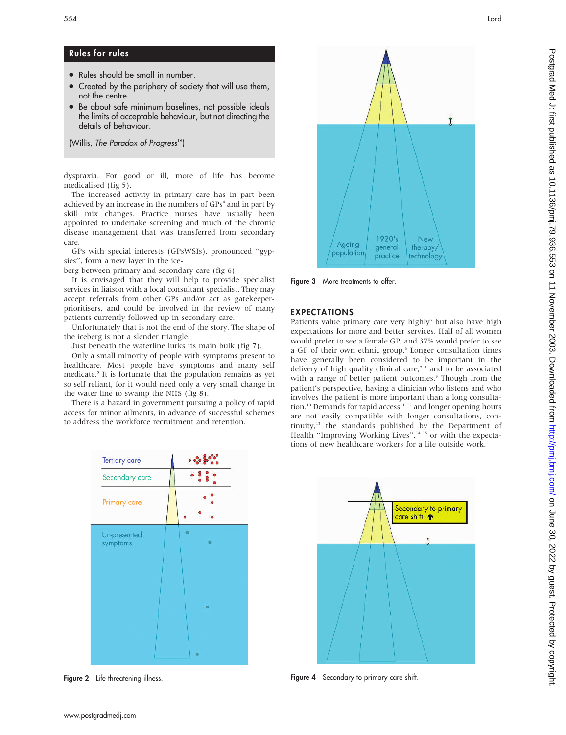## Rules for rules

- Rules should be small in number.
- Created by the periphery of society that will use them, not the centre.
- Be about safe minimum baselines, not possible ideals the limits of acceptable behaviour, but not directing the details of behaviour.

(Willis, The Paradox of Progress<sup>16</sup>)

dyspraxia. For good or ill, more of life has become medicalised (fig 5).

The increased activity in primary care has in part been achieved by an increase in the numbers of GPs<sup>4</sup> and in part by skill mix changes. Practice nurses have usually been appointed to undertake screening and much of the chronic disease management that was transferred from secondary care.

GPs with special interests (GPsWSIs), pronounced ''gypsies'', form a new layer in the ice-

berg between primary and secondary care (fig 6).

It is envisaged that they will help to provide specialist services in liaison with a local consultant specialist. They may accept referrals from other GPs and/or act as gatekeeperprioritisers, and could be involved in the review of many patients currently followed up in secondary care.

Unfortunately that is not the end of the story. The shape of the iceberg is not a slender triangle.

Just beneath the waterline lurks its main bulk (fig 7).

Only a small minority of people with symptoms present to healthcare. Most people have symptoms and many self medicate.5 It is fortunate that the population remains as yet so self reliant, for it would need only a very small change in the water line to swamp the NHS (fig 8).

There is a hazard in government pursuing a policy of rapid access for minor ailments, in advance of successful schemes to address the workforce recruitment and retention.



Figure 2 Life threatening illness.



Figure 3 More treatments to offer.

#### EXPECTATIONS

Patients value primary care very highly<sup>3</sup> but also have high expectations for more and better services. Half of all women would prefer to see a female GP, and 37% would prefer to see a GP of their own ethnic group.<sup>6</sup> Longer consultation times have generally been considered to be important in the delivery of high quality clinical care,<sup>7</sup><sup>8</sup> and to be associated with a range of better patient outcomes.<sup>9</sup> Though from the patient's perspective, having a clinician who listens and who involves the patient is more important than a long consultation.<sup>10</sup> Demands for rapid access<sup>11-12</sup> and longer opening hours are not easily compatible with longer consultations, continuity,<sup>13</sup> the standards published by the Department of Health "Improving Working Lives",<sup>14 15</sup> or with the expectations of new healthcare workers for a life outside work.



Figure 4 Secondary to primary care shift.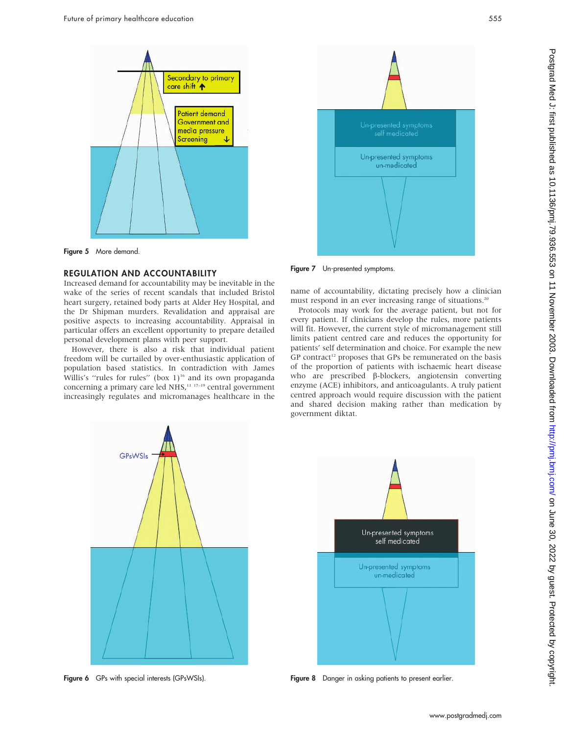

Figure 5 More demand.

#### REGULATION AND ACCOUNTABILITY

Increased demand for accountability may be inevitable in the wake of the series of recent scandals that included Bristol heart surgery, retained body parts at Alder Hey Hospital, and the Dr Shipman murders. Revalidation and appraisal are positive aspects to increasing accountability. Appraisal in particular offers an excellent opportunity to prepare detailed personal development plans with peer support.

However, there is also a risk that individual patient freedom will be curtailed by over-enthusiastic application of population based statistics. In contradiction with James Willis's "rules for rules" (box 1)<sup>16</sup> and its own propaganda concerning a primary care led  $NHS$ ,<sup>11 17–19</sup> central government increasingly regulates and micromanages healthcare in the



Figure 7 Un-presented symptoms.

name of accountability, dictating precisely how a clinician must respond in an ever increasing range of situations.<sup>20</sup>

Protocols may work for the average patient, but not for every patient. If clinicians develop the rules, more patients will fit. However, the current style of micromanagement still limits patient centred care and reduces the opportunity for patients' self determination and choice. For example the new GP contract<sup>12</sup> proposes that GPs be remunerated on the basis of the proportion of patients with ischaemic heart disease who are prescribed β-blockers, angiotensin converting enzyme (ACE) inhibitors, and anticoagulants. A truly patient centred approach would require discussion with the patient and shared decision making rather than medication by government diktat.



Figure 6 GPs with special interests (GPsWSIs).



Figure 8 Danger in asking patients to present earlier.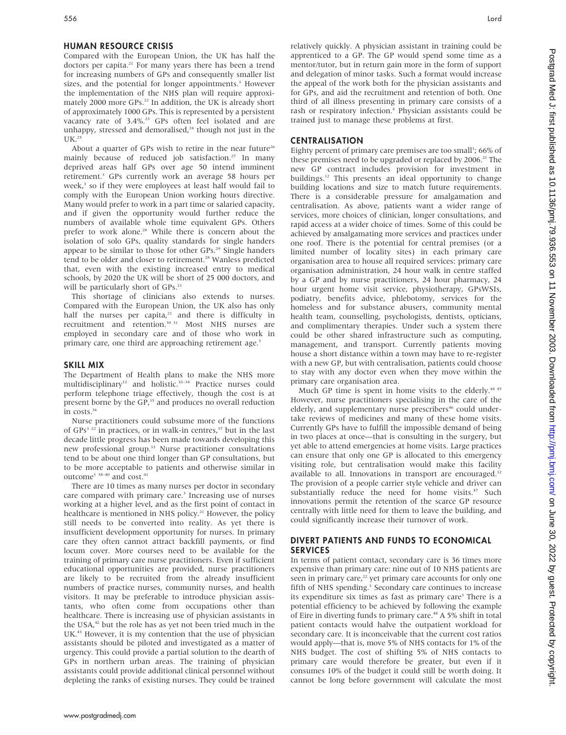#### HUMAN RESOURCE CRISIS

Compared with the European Union, the UK has half the doctors per capita.<sup>21</sup> For many years there has been a trend for increasing numbers of GPs and consequently smaller list sizes, and the potential for longer appointments.<sup>3</sup> However the implementation of the NHS plan will require approximately 2000 more GPs.<sup>22</sup> In addition, the UK is already short of approximately 1000 GPs. This is represented by a persistent vacancy rate of 3.4%.<sup>23</sup> GPs often feel isolated and are unhappy, stressed and demoralised, $24$  though not just in the UK.25

About a quarter of GPs wish to retire in the near future<sup>26</sup> mainly because of reduced job satisfaction.<sup>27</sup> In many deprived areas half GPs over age 50 intend imminent retirement.<sup>3</sup> GPs currently work an average 58 hours per week,<sup>3</sup> so if they were employees at least half would fail to comply with the European Union working hours directive. Many would prefer to work in a part time or salaried capacity, and if given the opportunity would further reduce the numbers of available whole time equivalent GPs. Others prefer to work alone.<sup>28</sup> While there is concern about the isolation of solo GPs, quality standards for single handers appear to be similar to those for other GPs.<sup>29</sup> Single handers tend to be older and closer to retirement.<sup>28</sup> Wanless predicted that, even with the existing increased entry to medical schools, by 2020 the UK will be short of 25 000 doctors, and will be particularly short of GPs.<sup>21</sup>

This shortage of clinicians also extends to nurses. Compared with the European Union, the UK also has only half the nurses per capita, $21$  and there is difficulty in recruitment and retention.<sup>30 31</sup> Most NHS nurses are employed in secondary care and of those who work in primary care, one third are approaching retirement age.<sup>3</sup>

#### SKILL MIX

The Department of Health plans to make the NHS more multidisciplinary<sup>12</sup> and holistic.<sup>32-34</sup> Practice nurses could perform telephone triage effectively, though the cost is at present borne by the GP,<sup>35</sup> and produces no overall reduction in costs.<sup>36</sup>

Nurse practitioners could subsume more of the functions of GPs<sup>3 22</sup> in practices, or in walk-in centres,<sup>37</sup> but in the last decade little progress has been made towards developing this new professional group.33 Nurse practitioner consultations tend to be about one third longer than GP consultations, but to be more acceptable to patients and otherwise similar in outcome<sup>3</sup> 38-40 and cost.<sup>41</sup>

There are 10 times as many nurses per doctor in secondary care compared with primary care.<sup>3</sup> Increasing use of nurses working at a higher level, and as the first point of contact in healthcare is mentioned in NHS policy.<sup>21</sup> However, the policy still needs to be converted into reality. As yet there is insufficient development opportunity for nurses. In primary care they often cannot attract backfill payments, or find locum cover. More courses need to be available for the training of primary care nurse practitioners. Even if sufficient educational opportunities are provided, nurse practitioners are likely to be recruited from the already insufficient numbers of practice nurses, community nurses, and health visitors. It may be preferable to introduce physician assistants, who often come from occupations other than healthcare. There is increasing use of physician assistants in the USA,<sup>42</sup> but the role has as yet not been tried much in the UK.<sup>43</sup> However, it is my contention that the use of physician assistants should be piloted and investigated as a matter of urgency. This could provide a partial solution to the dearth of GPs in northern urban areas. The training of physician assistants could provide additional clinical personnel without depleting the ranks of existing nurses. They could be trained relatively quickly. A physician assistant in training could be apprenticed to a GP. The GP would spend some time as a mentor/tutor, but in return gain more in the form of support and delegation of minor tasks. Such a format would increase the appeal of the work both for the physician assistants and for GPs, and aid the recruitment and retention of both. One third of all illness presenting in primary care consists of a rash or respiratory infection.<sup>4</sup> Physician assistants could be trained just to manage these problems at first.

#### CENTRALISATION

Eighty percent of primary care premises are too small<sup>3</sup>; 66% of these premises need to be upgraded or replaced by 2006.<sup>21</sup> The new GP contract includes provision for investment in buildings.12 This presents an ideal opportunity to change building locations and size to match future requirements. There is a considerable pressure for amalgamation and centralisation. As above, patients want a wider range of services, more choices of clinician, longer consultations, and rapid access at a wider choice of times. Some of this could be achieved by amalgamating more services and practices under one roof. There is the potential for central premises (or a limited number of locality sites) in each primary care organisation area to house all required services: primary care organisation administration, 24 hour walk in centre staffed by a GP and by nurse practitioners, 24 hour pharmacy, 24 hour urgent home visit service, physiotherapy, GPsWSIs, podiatry, benefits advice, phlebotomy, services for the homeless and for substance abusers, community mental health team, counselling, psychologists, dentists, opticians, and complimentary therapies. Under such a system there could be other shared infrastructure such as computing, management, and transport. Currently patients moving house a short distance within a town may have to re-register with a new GP, but with centralisation, patients could choose to stay with any doctor even when they move within the primary care organisation area.

Much GP time is spent in home visits to the elderly.<sup>44 45</sup> However, nurse practitioners specialising in the care of the elderly, and supplementary nurse prescribers<sup>46</sup> could undertake reviews of medicines and many of these home visits. Currently GPs have to fulfill the impossible demand of being in two places at once—that is consulting in the surgery, but yet able to attend emergencies at home visits. Large practices can ensure that only one GP is allocated to this emergency visiting role, but centralisation would make this facility available to all. Innovations in transport are encouraged.<sup>12</sup> The provision of a people carrier style vehicle and driver can substantially reduce the need for home visits.<sup>47</sup> Such innovations permit the retention of the scarce GP resource centrally with little need for them to leave the building, and could significantly increase their turnover of work.

#### DIVERT PATIENTS AND FUNDS TO ECONOMICAL SERVICES

In terms of patient contact, secondary care is 36 times more expensive than primary care: nine out of 10 NHS patients are seen in primary care,<sup>22</sup> yet primary care accounts for only one fifth of NHS spending.<sup>3</sup> Secondary care continues to increase its expenditure six times as fast as primary care<sup>3</sup> There is a potential efficiency to be achieved by following the example of Eire in diverting funds to primary care.<sup>48</sup> A 5% shift in total patient contacts would halve the outpatient workload for secondary care. It is inconceivable that the current cost ratios would apply—that is, move 5% of NHS contacts for 1% of the NHS budget. The cost of shifting 5% of NHS contacts to primary care would therefore be greater, but even if it consumes 10% of the budget it could still be worth doing. It cannot be long before government will calculate the most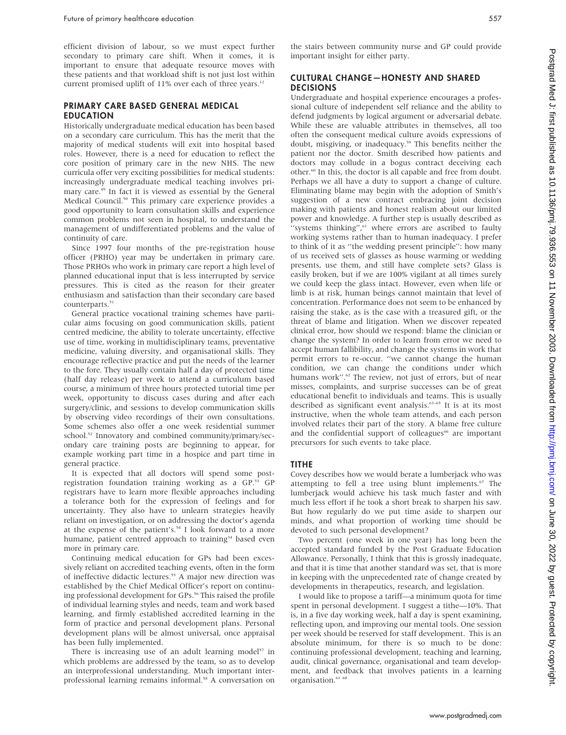efficient division of labour, so we must expect further secondary to primary care shift. When it comes, it is important to ensure that adequate resource moves with these patients and that workload shift is not just lost within current promised uplift of  $11\%$  over each of three years.<sup>12</sup>

#### PRIMARY CARE BASED GENERAL MEDICAL EDUCATION

Historically undergraduate medical education has been based on a secondary care curriculum. This has the merit that the majority of medical students will exit into hospital based roles. However, there is a need for education to reflect the core position of primary care in the new NHS. The new curricula offer very exciting possibilities for medical students: increasingly undergraduate medical teaching involves primary care.49 In fact it is viewed as essential by the General Medical Council.<sup>50</sup> This primary care experience provides a good opportunity to learn consultation skills and experience common problems not seen in hospital, to understand the management of undifferentiated problems and the value of continuity of care.

Since 1997 four months of the pre-registration house officer (PRHO) year may be undertaken in primary care. Those PRHOs who work in primary care report a high level of planned educational input that is less interrupted by service pressures. This is cited as the reason for their greater enthusiasm and satisfaction than their secondary care based counterparts.<sup>51</sup>

General practice vocational training schemes have particular aims focusing on good communication skills, patient centred medicine, the ability to tolerate uncertainty, effective use of time, working in multidisciplinary teams, preventative medicine, valuing diversity, and organisational skills. They encourage reflective practice and put the needs of the learner to the fore. They usually contain half a day of protected time (half day release) per week to attend a curriculum based course, a minimum of three hours protected tutorial time per week, opportunity to discuss cases during and after each surgery/clinic, and sessions to develop communication skills by observing video recordings of their own consultations. Some schemes also offer a one week residential summer school.<sup>52</sup> Innovatory and combined community/primary/secondary care training posts are beginning to appear, for example working part time in a hospice and part time in general practice.

It is expected that all doctors will spend some postregistration foundation training working as a GP.<sup>53</sup> GP registrars have to learn more flexible approaches including a tolerance both for the expression of feelings and for uncertainty. They also have to unlearn strategies heavily reliant on investigation, or on addressing the doctor's agenda at the expense of the patient's.<sup>54</sup> I look forward to a more humane, patient centred approach to training<sup>34</sup> based even more in primary care.

Continuing medical education for GPs had been excessively reliant on accredited teaching events, often in the form of ineffective didactic lectures.<sup>55</sup> A major new direction was established by the Chief Medical Officer's report on continuing professional development for GPs.<sup>56</sup> This raised the profile of individual learning styles and needs, team and work based learning, and firmly established accredited learning in the form of practice and personal development plans. Personal development plans will be almost universal, once appraisal has been fully implemented.

There is increasing use of an adult learning model<sup>57</sup> in which problems are addressed by the team, so as to develop an interprofessional understanding. Much important interprofessional learning remains informal.<sup>58</sup> A conversation on the stairs between community nurse and GP could provide important insight for either party.

#### CULTURAL CHANGE—HONESTY AND SHARED DECISIONS

Undergraduate and hospital experience encourages a professional culture of independent self reliance and the ability to defend judgments by logical argument or adversarial debate. While these are valuable attributes in themselves, all too often the consequent medical culture avoids expressions of doubt, misgiving, or inadequacy.59 This benefits neither the patient nor the doctor. Smith described how patients and doctors may collude in a bogus contract deceiving each other.60 In this, the doctor is all capable and free from doubt. Perhaps we all have a duty to support a change of culture. Eliminating blame may begin with the adoption of Smith's suggestion of a new contract embracing joint decision making with patients and honest realism about our limited power and knowledge. A further step is usually described as "systems thinking", $61$  where errors are ascribed to faulty working systems rather than to human inadequacy. I prefer to think of it as ''the wedding present principle'': how many of us received sets of glasses as house warming or wedding presents, use them, and still have complete sets? Glass is easily broken, but if we are 100% vigilant at all times surely we could keep the glass intact. However, even when life or limb is at risk, human beings cannot maintain that level of concentration. Performance does not seem to be enhanced by raising the stake, as is the case with a treasured gift, or the threat of blame and litigation. When we discover repeated clinical error, how should we respond: blame the clinician or change the system? In order to learn from error we need to accept human fallibility, and change the systems in work that permit errors to re-occur. ''we cannot change the human condition, we can change the conditions under which humans work".<sup>62</sup> The review, not just of errors, but of near misses, complaints, and surprise successes can be of great educational benefit to individuals and teams. This is usually described as significant event analysis.<sup>63-65</sup> It is at its most instructive, when the whole team attends, and each person involved relates their part of the story. A blame free culture and the confidential support of colleagues<sup>66</sup> are important precursors for such events to take place.

#### TITHE

Covey describes how we would berate a lumberjack who was attempting to fell a tree using blunt implements.<sup>67</sup> The lumberjack would achieve his task much faster and with much less effort if he took a short break to sharpen his saw. But how regularly do we put time aside to sharpen our minds, and what proportion of working time should be devoted to such personal development?

Two percent (one week in one year) has long been the accepted standard funded by the Post Graduate Education Allowance. Personally, I think that this is grossly inadequate, and that it is time that another standard was set, that is more in keeping with the unprecedented rate of change created by developments in therapeutics, research, and legislation.

I would like to propose a tariff—a minimum quota for time spent in personal development. I suggest a tithe—10%. That is, in a five day working week, half a day is spent examining, reflecting upon, and improving our mental tools. One session per week should be reserved for staff development. This is an absolute minimum, for there is so much to be done: continuing professional development, teaching and learning, audit, clinical governance, organisational and team development, and feedback that involves patients in a learning organisation.<sup>61</sup> 68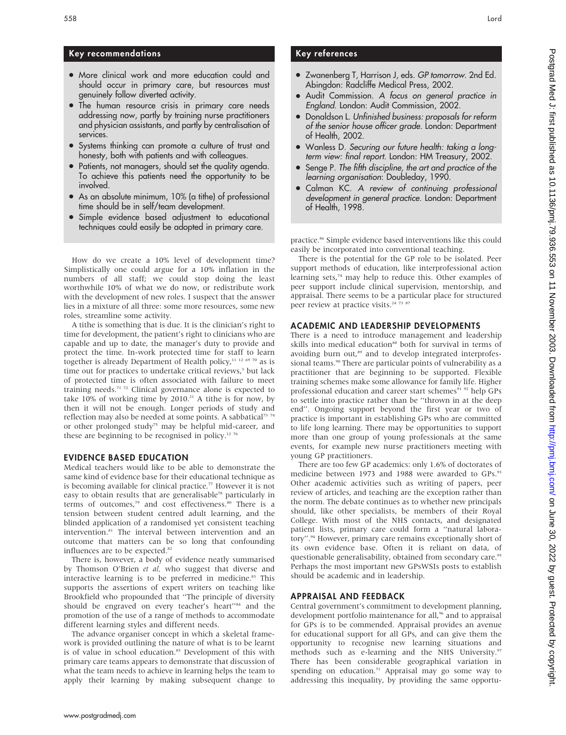#### Key recommendations

- More clinical work and more education could and should occur in primary care, but resources must genuinely follow diverted activity.
- The human resource crisis in primary care needs addressing now, partly by training nurse practitioners and physician assistants, and partly by centralisation of services.
- Systems thinking can promote a culture of trust and honesty, both with patients and with colleagues.
- Patients, not managers, should set the quality agenda. To achieve this patients need the opportunity to be involved.
- As an absolute minimum, 10% (a tithe) of professional time should be in self/team development.
- Simple evidence based adjustment to educational techniques could easily be adopted in primary care.

How do we create a 10% level of development time? Simplistically one could argue for a 10% inflation in the numbers of all staff; we could stop doing the least worthwhile 10% of what we do now, or redistribute work with the development of new roles. I suspect that the answer lies in a mixture of all three: some more resources, some new roles, streamline some activity.

A tithe is something that is due. It is the clinician's right to time for development, the patient's right to clinicians who are capable and up to date, the manager's duty to provide and protect the time. In-work protected time for staff to learn together is already Department of Health policy,<sup>11 12 69 70</sup> as is time out for practices to undertake critical reviews,<sup>3</sup> but lack of protected time is often associated with failure to meet training needs.<sup>71 72</sup> Clinical governance alone is expected to take  $10\%$  of working time by 2010.<sup>21</sup> A tithe is for now, by then it will not be enough. Longer periods of study and reflection may also be needed at some points. A sabbatical<sup>73 74</sup> or other prolonged study<sup>75</sup> may be helpful mid-career, and these are beginning to be recognised in policy.<sup>12 76</sup>

#### EVIDENCE BASED EDUCATION

Medical teachers would like to be able to demonstrate the same kind of evidence base for their educational technique as is becoming available for clinical practice.<sup>77</sup> However it is not easy to obtain results that are generalisable<sup>78</sup> particularly in terms of outcomes,<sup>79</sup> and cost effectiveness.<sup>80</sup> There is a tension between student centred adult learning, and the blinded application of a randomised yet consistent teaching intervention.81 The interval between intervention and an outcome that matters can be so long that confounding influences are to be expected.<sup>82</sup>

There is, however, a body of evidence neatly summarised by Thomson O'Brien et al, who suggest that diverse and interactive learning is to be preferred in medicine.<sup>83</sup> This supports the assertions of expert writers on teaching like Brookfield who propounded that ''The principle of diversity should be engraved on every teacher's heart"<sup>84</sup> and the promotion of the use of a range of methods to accommodate different learning styles and different needs.

The advance organiser concept in which a skeletal framework is provided outlining the nature of what is to be learnt is of value in school education.<sup>85</sup> Development of this with primary care teams appears to demonstrate that discussion of what the team needs to achieve in learning helps the team to apply their learning by making subsequent change to

#### Key references

- Zwanenberg T, Harrison J, eds. GP tomorrow. 2nd Ed. Abingdon: Radcliffe Medical Press, 2002.
- $\bullet$  Audit Commission. A focus on general practice in England. London: Audit Commission, 2002.
- Donaldson L. Unfinished business: proposals for reform of the senior house officer grade. London: Department of Health, 2002.
- Wanless D. Securing our future health: taking a longterm view: final report. London: HM Treasury, 2002.
- Senge P. The fifth discipline, the art and practice of the learning organisation: Doubleday, 1990.
- Calman KC. A review of continuing professional development in general practice. London: Department of Health, 1998.

practice.<sup>86</sup> Simple evidence based interventions like this could easily be incorporated into conventional teaching.

There is the potential for the GP role to be isolated. Peer support methods of education, like interprofessional action learning sets,<sup>74</sup> may help to reduce this. Other examples of peer support include clinical supervision, mentorship, and appraisal. There seems to be a particular place for structured peer review at practice visits.<sup>24 73</sup> 87

#### ACADEMIC AND LEADERSHIP DEVELOPMENTS

There is a need to introduce management and leadership skills into medical education<sup>88</sup> both for survival in terms of avoiding burn out,<sup>89</sup> and to develop integrated interprofessional teams.<sup>90</sup> There are particular points of vulnerability as a practitioner that are beginning to be supported. Flexible training schemes make some allowance for family life. Higher professional education and career start schemes<sup>91 92</sup> help GPs to settle into practice rather than be ''thrown in at the deep end''. Ongoing support beyond the first year or two of practice is important in establishing GPs who are committed to life long learning. There may be opportunities to support more than one group of young professionals at the same events, for example new nurse practitioners meeting with young GP practitioners.

There are too few GP academics: only 1.6% of doctorates of medicine between 1973 and 1988 were awarded to GPs.<sup>93</sup> Other academic activities such as writing of papers, peer review of articles, and teaching are the exception rather than the norm. The debate continues as to whether new principals should, like other specialists, be members of their Royal College. With most of the NHS contacts, and designated patient lists, primary care could form a ''natural laboratory''.94 However, primary care remains exceptionally short of its own evidence base. Often it is reliant on data, of questionable generalisability, obtained from secondary care.<sup>95</sup> Perhaps the most important new GPsWSIs posts to establish should be academic and in leadership.

#### APPRAISAL AND FEEDBACK

Central government's commitment to development planning, development portfolio maintenance for all,<sup>96</sup> and to appraisal for GPs is to be commended. Appraisal provides an avenue for educational support for all GPs, and can give them the opportunity to recognise new learning situations and methods such as e-learning and the NHS University.<sup>97</sup> There has been considerable geographical variation in spending on education.<sup>71</sup> Appraisal may go some way to addressing this inequality, by providing the same opportu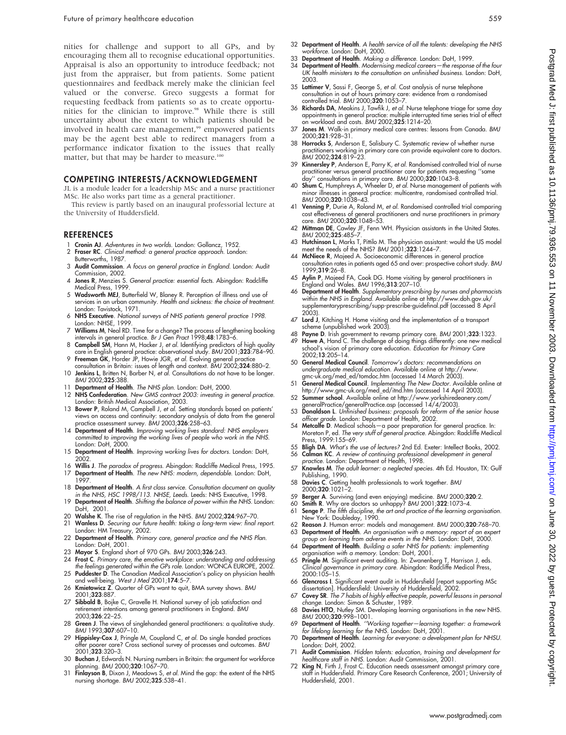nities for challenge and support to all GPs, and by encouraging them all to recognise educational opportunities. Appraisal is also an opportunity to introduce feedback; not just from the appraiser, but from patients. Some patient questionnaires and feedback merely make the clinician feel valued or the converse. Greco suggests a format for requesting feedback from patients so as to create opportunities for the clinician to improve.98 While there is still uncertainty about the extent to which patients should be involved in health care management,<sup>99</sup> empowered patients may be the agent best able to redirect managers from a performance indicator fixation to the issues that really matter, but that may be harder to measure.<sup>100</sup>

#### COMPETING INTERESTS/ACKNOWLEDGEMENT

JL is a module leader for a leadership MSc and a nurse practitioner MSc. He also works part time as a general practitioner.

This review is partly based on an inaugural professorial lecture at the University of Huddersfield.

#### REFERENCES

- 1 Cronin AJ. Adventures in two worlds. London: Gollancz, 1952.
- 2 Fraser RC. Clinical method: a general practice approach. London: Butterworths, 1987.
- 3 Audit Commission. A focus on general practice in England. London: Audit Commission, 2002.
- 4 Jones R, Menzies S. General practice: essential facts. Abingdon: Radcliffe Medical Press, 1999.
- 5 Wadsworth MEJ, Butterfield W, Blaney R. Perception of illness and use of services in an urban community. Health and sickness: the choice of treatment. London: Tavistock, 1971.
- 6 NHS Executive. National surveys of NHS patients general practice 1998. London: NHSE, 1999.
- 7 Williams M, Neal RD. Time for a change? The process of lengthening booking intervals in general practice. Br J Gen Pract 1998;48:1783–6.
- 8 Campbell SM, Hann M, Hacker J, et al. Identifying predictors of high quality care in English general practice: observational study. BMJ 2001;323:784–90.
- 9 Freeman GK, Horder JP, Howie JGR, et al. Evolving general practice consultation in Britain: issues of length and context. BMJ 2002;324:880–2. 10 Jenkins L, Britten N, Barber N, et al. Consultations do not have to be longer.
- BMJ 2002;325:388.
- 11 Department of Health. The NHS plan. London: DoH, 2000.
- 12 NHS Confederation. New GMS contract 2003: investing in general practice. London: British Medical Association, 2003.
- 13 Bower P, Roland M, Campbell J, et al. Setting standards based on patients' views on access and continuity: secondary analysis of data from the general practice assessment survey. BMJ 2003;326:258-63.
- 14 Department of Health. Improving working lives standard: NHS employers committed to improving the working lives of people who work in the NHS. London: DoH, 2000.
- 15 Department of Health. Improving working lives for doctors. London: DoH, 2002.
- 16 Willis J. The paradox of progress. Abingdon: Radcliffe Medical Press, 1995.<br>17 Department of Health. The new NHS: modern. dependable. London: DoH.
- Department of Health. The new NHS: modern, dependable. London: DoH, 1997.
- 18 Department of Health. A first class service. Consultation document on quality in the NHS, HSC 1998/113. NHSE, Leeds. Leeds: NHS Executive, 1998. 19 Department of Health. Shifting the balance of power within the NHS. London:
- DoH, 2001.
- 20 Walshe K. The rise of regulation in the NHS. BMJ 2002;324:967-70.<br>21 Wanless D. Securing our future health: taking a long-term view: final Wanless D. Securing our future health: taking a long-term view: final report.
- London: HM Treasury, 2002.<br>22 **Department of Health**. *Primary care, general practice and the* NHS Plan.
- London: DoH, 2001.
- 23 Mayor S. England short of 970 GPs. BMJ 2003;326:243.
- 24 Frost C. Primary care, the emotive workplace: understanding and addressing the feelings generated within the GPs role. London: WONCA EUROPE, 2002.
- 25 Puddester D. The Canadian Medical Association's policy on physician health and well-being. West J Med 2001;**174**:5–7.<br>26 **Kmietowicz Z**. Quarter of GPs want to quit, BMA survey shows. BMJ
- 2001;323:887.
- 27 Sibbald B, Bojke C, Gravelle H. National survey of job satisfaction and retirement intentions among general practitioners in England. BMJ 2003;326:22–25.
- 28 Green J. The views of singlehanded general practitioners: a qualitative study. BMJ 1993;307:607–10.
- 29 **Hippisley-Cox J**, Pringle M, Coupland C, *et al*. Do single handed practices<br>offer poorer care? Cross sectional survey of processes and outcomes. BMJ 2001;323:320–3.
- 30 Buchan J, Edwards N. Nursing numbers in Britain: the argument for workforce planning. BMJ 2000;320:1067–70.
- 31 Finlayson B, Dixon J, Meadows S, et al. Mind the gap: the extent of the NHS nursing shortage. BMJ 2002;325:538–41.
- 32 Department of Health. A health service of all the talents: developing the NHS workforce. London: DoH, 2000.
- 33 Department of Health. Making a difference. London: DoH, 1999.
- 34 Department of Health. Modernising medical careers—the response of the four UK health ministers to the consultation on unfinished business. London: DoH, 2003.
- 35 Lattimer V, Sassi F, George S, et al. Cost analysis of nurse telephone consultation in out of hours primary care: evidence from a randomised controlled trial. BMJ 2000;320:1053–7.
- 36 Richards DA, Meakins J, Tawfik J, et al. Nurse telephone triage for same day appointments in general practice: multiple interrupted time series trial of effect on workload and costs. BMJ 2002;325:1214–20.
- 37 Jones M. Walk-in primary medical care centres: lessons from Canada. BMJ 2000;321:928–31.
- 38 Horrocks S, Anderson E, Salisbury C. Systematic review of whether nurse practitioners working in primary care can provide equivalent care to doctors. BMJ 2002;324:819–23.
- 39 Kinnersley P, Anderson E, Parry K, et al. Randomised controlled trial of nurse practitioner versus general practitioner care tor patients requesting ''same<br>day'' consultations in primary care. BMJ 2000;320:1043–8.<br>40 Shum C, Humphreys A, Wheeler D, *et al.* Nurse management of patients with
- minor illnesses in general practice: multicentre, randomised controlled trial. BMJ 2000;320:1038–43.
- 41 Venning P, Durie A, Roland M, et al. Randomised controlled trial comparing cost effectiveness of general practitioners and nurse practitioners in primary care. *BMJ* 2000:**320**:1048-53.
- 42 Mittman DE, Cawley JF, Fenn WH. Physician assistants in the United States. BMJ 2002;325:485–7.
- 43 Hutchinson L, Marks T, Pittilo M. The physician assistant: would the US model meet the needs of the NHS? BMJ 2001;323:1244–7.
- 44 McNiece R, Majeed A. Socioeconomic differences in general practice consultation rates in patients aged 65 and over: prospective cohort study. BMJ 1999;319:26–8.
- 45 Aylin P, Majeed FA, Cook DG. Home visiting by general practitioners in England and Wales. BMJ 1996;313:207–10.
- 46 Department of Health. Supplementary prescribing by nurses and pharmacists within the NHS in England. Available online at http://www.doh.gov.uk/ supplementaryprescribing/supp-prescribe-guidefinal.pdf (accessed 8 April 2003).
- 47 Lord J, Kitching H. Home visiting and the implementation of a transport scheme (unpublished work 2003).
- 48 Payne D. Irish government to revamp primary care. BMJ 2001;323:1323. 49 Howe A, Hand C. The challenge of doing things differently: one new medical school's vision of primary care education. Education for Primary Care 2002;13:205–14.
- 50 General Medical Council. Tomorrow's doctors: recommendations on undergraduate medical education. Available online at http://www. gmc-uk.org/med\_ed/tomdoc.htm (accessed 14 March 2003).
- 51 **General Medical Council**. Implementing The New Doctor. Available online at<br>http://www.gmc-uk.org/med\_ed/itnd.htm (accessed 14 April 2003).<br>52 **Summer school**. Available online at http://www.yorkshiredeanery.com/
- generalPractice/generalPractice.asp (accessed 14/4/2003).<br>53 **Donaldson L**. Unfinished business: proposals for reform of the senior house
- officer grade. London: Department of Health, 2002.
- 54 Metcalfe D. Medical schools—a poor preparation for general practice. In: Moreton P, ed. The very stuff of general practice. Abingdon: Radcliffe Medical Press, 1999:155–69.
- 55 Bligh DA. What's the use of lectures? 2nd Ed. Exeter: Intellect Books, 2002.
- 56 Calman KC. A review of continuing professional development in general practice. London: Department of Health, 1998.
- 57 Knowles M. The adult learner: a neglected species. 4th Ed. Houston, TX: Gulf Publishing, 1990.
- 58 Davies C. Getting health professionals to work together. BMJ
- 2000;320:1021–2.
- 
- 59 Berger A. Surviving (and even enjoying) medicine. BMJ 2000;320:2.<br>60 Smith R. Why are doctors so unhappy? BMJ 2001;322:1073–4.<br>61 Senge P. The fifth discipline, the art and practice of the learning organisation. New York: Doubleday, 1990.
- 62 Reason J. Human error: models and management. BMJ 2000;3**20**:768–70.<br>63 **Department of Health**. An organisation with a memory: report of an expert
- group on learning from adverse events in the NHS. London: DoH, 2000. 64 Department of Health. Building a safer NHS for patients: implementing
- organisation with a memory. London: DoH, 2001. 65 Pringle M. Significant event auditing. In: Zwanenberg T, Harrison J, eds. Clinical governance in primary care. Abingdon: Radcliffe Medical Press, 2000:105–15.
- 66 Glencross I. Significant event audit in Huddersfield [report supporting MSc dissertation]. Huddersfield: University of Huddersfield, 2002.
- 67 Covey SR. The 7 habits of highly effective people, powerful lessons in personal change. London: Simon & Schuster, 1989.
- 68 Davies HTO, Nutley SM. Developing learning organisations in the new NHS. BMJ 2000;320:998-1001.
- 69 **Department of Health.** ''Working together—learning together: a framework<br>for lifelong learning for the NHS. London: DoH, 2001.<br>70 **Department of Health**. Learning for everyone: a development plan for NHSU.
- London: DoH, 2002.
- 71 Audit Commission. Hidden talents: education, training and development for healthcare staff in NHS. London: Audit Commission, 2001.
- 72 King N, Firth J, Frost C. Education needs assessment amongst primary care staff in Huddersfield. Primary Care Research Conference, 2001; University of Huddersfield, 2001.